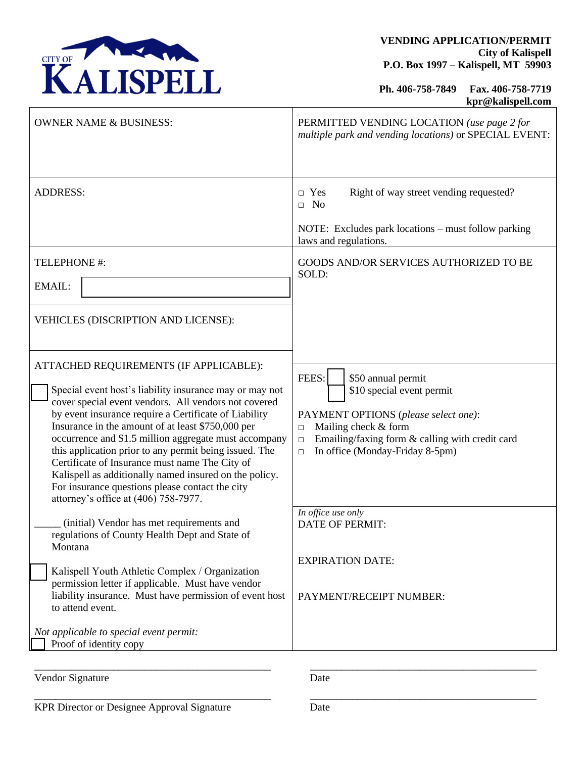

**Ph. 406-758-7849 Fax. 406-758-7719 kpr@kalispell.com**

| <b>OWNER NAME &amp; BUSINESS:</b>                                                                                                                                                                                                                                                                                                                                                                                                                                                                                                                                                                 | PERMITTED VENDING LOCATION (use page 2 for<br>multiple park and vending locations) or SPECIAL EVENT:                                                                                                                                         |
|---------------------------------------------------------------------------------------------------------------------------------------------------------------------------------------------------------------------------------------------------------------------------------------------------------------------------------------------------------------------------------------------------------------------------------------------------------------------------------------------------------------------------------------------------------------------------------------------------|----------------------------------------------------------------------------------------------------------------------------------------------------------------------------------------------------------------------------------------------|
| <b>ADDRESS:</b>                                                                                                                                                                                                                                                                                                                                                                                                                                                                                                                                                                                   | Right of way street vending requested?<br>$\Box$ Yes<br>$\Box$ No<br>NOTE: Excludes park locations - must follow parking                                                                                                                     |
|                                                                                                                                                                                                                                                                                                                                                                                                                                                                                                                                                                                                   | laws and regulations.                                                                                                                                                                                                                        |
| TELEPHONE #:<br>EMAIL:                                                                                                                                                                                                                                                                                                                                                                                                                                                                                                                                                                            | GOODS AND/OR SERVICES AUTHORIZED TO BE<br>SOLD:                                                                                                                                                                                              |
| VEHICLES (DISCRIPTION AND LICENSE):                                                                                                                                                                                                                                                                                                                                                                                                                                                                                                                                                               |                                                                                                                                                                                                                                              |
| ATTACHED REQUIREMENTS (IF APPLICABLE):<br>Special event host's liability insurance may or may not<br>cover special event vendors. All vendors not covered<br>by event insurance require a Certificate of Liability<br>Insurance in the amount of at least \$750,000 per<br>occurrence and \$1.5 million aggregate must accompany<br>this application prior to any permit being issued. The<br>Certificate of Insurance must name The City of<br>Kalispell as additionally named insured on the policy.<br>For insurance questions please contact the city<br>attorney's office at (406) 758-7977. | FEES:<br>\$50 annual permit<br>\$10 special event permit<br>PAYMENT OPTIONS (please select one):<br>Mailing check & form<br>$\Box$<br>Emailing/faxing form & calling with credit card<br>$\Box$<br>In office (Monday-Friday 8-5pm)<br>$\Box$ |
| (initial) Vendor has met requirements and<br>regulations of County Health Dept and State of<br>Montana<br>Kalispell Youth Athletic Complex / Organization<br>permission letter if applicable. Must have vendor<br>liability insurance. Must have permission of event host                                                                                                                                                                                                                                                                                                                         | In office use only<br>DATE OF PERMIT:<br><b>EXPIRATION DATE:</b><br>PAYMENT/RECEIPT NUMBER:                                                                                                                                                  |
| to attend event.<br>Not applicable to special event permit:<br>Proof of identity copy                                                                                                                                                                                                                                                                                                                                                                                                                                                                                                             |                                                                                                                                                                                                                                              |

Vendor Signature Date

\_\_\_\_\_\_\_\_\_\_\_\_\_\_\_\_\_\_\_\_\_\_\_\_\_\_\_\_\_\_\_\_\_\_\_\_\_\_\_\_\_\_\_\_\_ \_\_\_\_\_\_\_\_\_\_\_\_\_\_\_\_\_\_\_\_\_\_\_\_\_\_\_\_\_\_\_\_\_\_\_\_\_\_\_\_\_\_\_